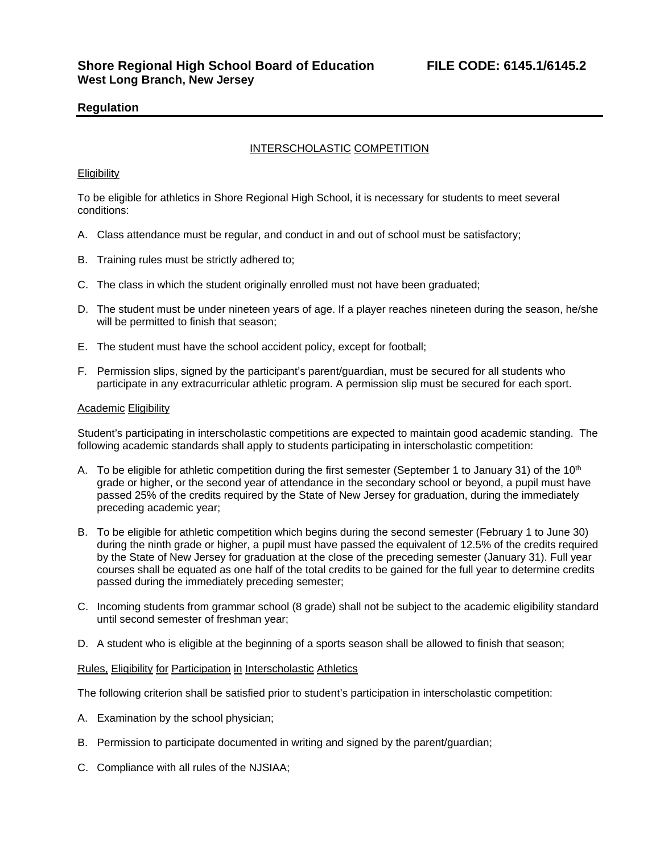# **Regulation**

## INTERSCHOLASTIC COMPETITION

### **Eligibility**

To be eligible for athletics in Shore Regional High School, it is necessary for students to meet several conditions:

- A. Class attendance must be regular, and conduct in and out of school must be satisfactory;
- B. Training rules must be strictly adhered to;
- C. The class in which the student originally enrolled must not have been graduated;
- D. The student must be under nineteen years of age. If a player reaches nineteen during the season, he/she will be permitted to finish that season;
- E. The student must have the school accident policy, except for football;
- F. Permission slips, signed by the participant's parent/guardian, must be secured for all students who participate in any extracurricular athletic program. A permission slip must be secured for each sport.

#### Academic Eligibility

Student's participating in interscholastic competitions are expected to maintain good academic standing. The following academic standards shall apply to students participating in interscholastic competition:

- A. To be eligible for athletic competition during the first semester (September 1 to January 31) of the  $10<sup>th</sup>$ grade or higher, or the second year of attendance in the secondary school or beyond, a pupil must have passed 25% of the credits required by the State of New Jersey for graduation, during the immediately preceding academic year;
- B. To be eligible for athletic competition which begins during the second semester (February 1 to June 30) during the ninth grade or higher, a pupil must have passed the equivalent of 12.5% of the credits required by the State of New Jersey for graduation at the close of the preceding semester (January 31). Full year courses shall be equated as one half of the total credits to be gained for the full year to determine credits passed during the immediately preceding semester;
- C. Incoming students from grammar school (8 grade) shall not be subject to the academic eligibility standard until second semester of freshman year;
- D. A student who is eligible at the beginning of a sports season shall be allowed to finish that season;

#### Rules, Eligibility for Participation in Interscholastic Athletics

The following criterion shall be satisfied prior to student's participation in interscholastic competition:

- A. Examination by the school physician;
- B. Permission to participate documented in writing and signed by the parent/guardian;
- C. Compliance with all rules of the NJSIAA;